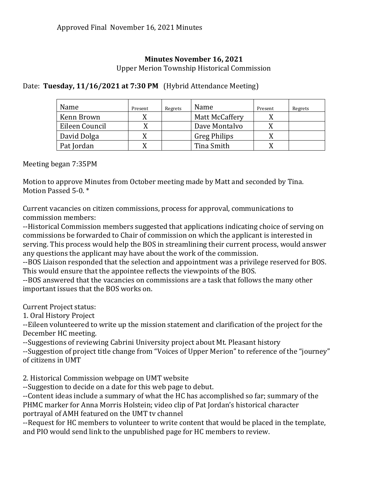## **Minutes November 16, 2021**

Upper Merion Township Historical Commission

## Date: **Tuesday, 11/16/2021 at 7:30 PM** (Hybrid Attendance Meeting)

| Name           | Present | Regrets | Name                | Present | Regrets |
|----------------|---------|---------|---------------------|---------|---------|
| Kenn Brown     |         |         | Matt McCaffery      |         |         |
| Eileen Council |         |         | Dave Montalvo       |         |         |
| David Dolga    |         |         | <b>Greg Philips</b> |         |         |
| Pat Jordan     |         |         | Tina Smith          |         |         |

Meeting began 7:35PM

Motion to approve Minutes from October meeting made by Matt and seconded by Tina. Motion Passed 5-0. \*

Current vacancies on citizen commissions, process for approval, communications to commission members:

--Historical Commission members suggested that applications indicating choice of serving on commissions be forwarded to Chair of commission on which the applicant is interested in serving. This process would help the BOS in streamlining their current process, would answer any questions the applicant may have about the work of the commission.

--BOS Liaison responded that the selection and appointment was a privilege reserved for BOS. This would ensure that the appointee reflects the viewpoints of the BOS.

--BOS answered that the vacancies on commissions are a task that follows the many other important issues that the BOS works on.

Current Project status:

1. Oral History Project

--Eileen volunteered to write up the mission statement and clarification of the project for the December HC meeting.

--Suggestions of reviewing Cabrini University project about Mt. Pleasant history

--Suggestion of project title change from "Voices of Upper Merion" to reference of the "journey" of citizens in UMT

2. Historical Commission webpage on UMT website

--Suggestion to decide on a date for this web page to debut.

--Content ideas include a summary of what the HC has accomplished so far; summary of the PHMC marker for Anna Morris Holstein; video clip of Pat Jordan's historical character portrayal of AMH featured on the UMT tv channel

--Request for HC members to volunteer to write content that would be placed in the template, and PIO would send link to the unpublished page for HC members to review.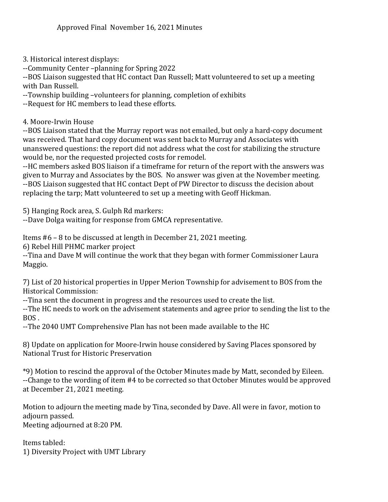3. Historical interest displays:

--Community Center –planning for Spring 2022

--BOS Liaison suggested that HC contact Dan Russell; Matt volunteered to set up a meeting with Dan Russell.

--Township building –volunteers for planning, completion of exhibits

--Request for HC members to lead these efforts.

4. Moore-Irwin House

--BOS Liaison stated that the Murray report was not emailed, but only a hard-copy document was received. That hard copy document was sent back to Murray and Associates with unanswered questions: the report did not address what the cost for stabilizing the structure would be, nor the requested projected costs for remodel.

--HC members asked BOS liaison if a timeframe for return of the report with the answers was given to Murray and Associates by the BOS. No answer was given at the November meeting. --BOS Liaison suggested that HC contact Dept of PW Director to discuss the decision about replacing the tarp; Matt volunteered to set up a meeting with Geoff Hickman.

5) Hanging Rock area, S. Gulph Rd markers:

--Dave Dolga waiting for response from GMCA representative.

Items #6 – 8 to be discussed at length in December 21, 2021 meeting.

6) Rebel Hill PHMC marker project

--Tina and Dave M will continue the work that they began with former Commissioner Laura Maggio.

7) List of 20 historical properties in Upper Merion Township for advisement to BOS from the Historical Commission:

--Tina sent the document in progress and the resources used to create the list.

--The HC needs to work on the advisement statements and agree prior to sending the list to the BOS .

--The 2040 UMT Comprehensive Plan has not been made available to the HC

8) Update on application for Moore-Irwin house considered by Saving Places sponsored by National Trust for Historic Preservation

\*9) Motion to rescind the approval of the October Minutes made by Matt, seconded by Eileen. --Change to the wording of item #4 to be corrected so that October Minutes would be approved at December 21, 2021 meeting.

Motion to adjourn the meeting made by Tina, seconded by Dave. All were in favor, motion to adjourn passed. Meeting adjourned at 8:20 PM.

Items tabled: 1) Diversity Project with UMT Library